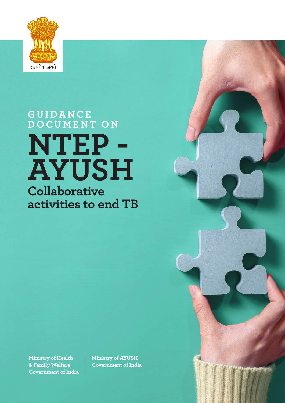

## **G U I D A N C E D O C U M E N T O N NTEP - AYUSH Collaborative activities to end TB**

**Ministry of Health & Family Welfare Government of India** **Ministry of AYUSH Government of India**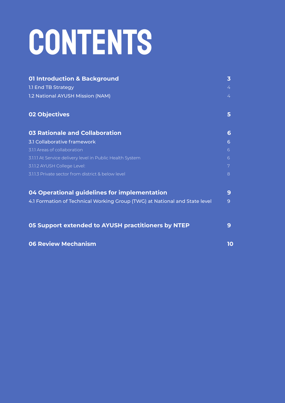# CONTENTS

| <b>01 Introduction &amp; Background</b>                                    | 3      |
|----------------------------------------------------------------------------|--------|
| 1.1 End TB Strategy<br>1.2 National AYUSH Mission (NAM)                    | 4<br>4 |
|                                                                            |        |
| <b>03 Rationale and Collaboration</b>                                      | 6      |
| 3.1 Collaborative framework                                                | 6      |
| 3.1.1 Areas of collaboration                                               | 6      |
| 3.1.1.1 At Service delivery level in Public Health System                  | 6      |
| 3.1.1.2 AYUSH College Level:                                               | 7      |
| 3.1.1.3 Private sector from district & below level                         | 8      |
| 04 Operational guidelines for implementation                               | 9      |
| 4.1 Formation of Technical Working Group (TWG) at National and State level | 9      |
| 05 Support extended to AYUSH practitioners by NTEP                         | 9      |
| <b>06 Review Mechanism</b>                                                 | 10     |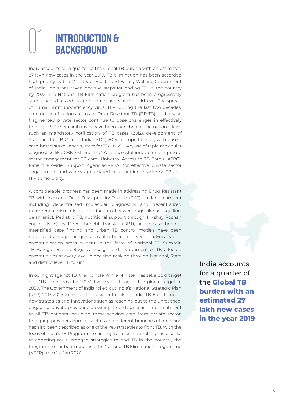## INTRODUCTION & **BACKGROUND**

India accounts for a quarter of the Global TB burden with an estimated 27 lakh new cases in the year 2019. TB elimination has been accorded high priority by the Ministry of Health and Family Welfare, Government of India. India has taken decisive steps for ending TB in the country by 2025. The National TB Elimination program has been progressively strengthened to address the requirements at the field level. The spread of human immunodeficiency virus (HIV) during the last two decades, emergence of various forms of Drug Resistant TB (DR-TB), and a vast, fragmented private sector continue to pose challenges in effectively Ending TB . Several initiatives have been launched at the national level such as: mandatory notification of TB cases (2012), development of Standard for TB Care in India (STCI)(2014), comprehensive, web-based, case-based surveillance system for TB – NIKSHAY, use of rapid molecular diagnostics like CBNAAT and TruNAT, successful innovations in private sector engagement for TB care- Universal Access to TB Care (UATBC), Patient Provider Support Agencies(PPSA) for effective private sector engagement and widely appreciated collaboration to address TB and HIV comorbidity.

A considerable progress has been made in addressing Drug Resistant TB with focus on Drug Susceptibility Testing (DST) guided treatment including decentralized molecular diagnostics and decentralized treatment at district level, introduction of newer drugs (like bedaquiline, delamanid). Pediatric TB, nutritional support through Nikshay Poshan Yojana (NPY) by Direct Benefit Transfer (DBT), active case finding, intensified case finding and urban TB control models have been made and a major progress has also been achieved in advocacy and communication areas evident in the form of National TB Summit, TB Harega Desh Jeetega campaign and involvement of TB affected communities at every level in decision making through National, State and district level TB forum.

In our fight against TB, the Hon'ble Prime Minister has set a bold target of a 'TB- free India by 2025', five years ahead of the global target of 2030. The Government of India rolled out India's National Strategic Plan (NSP) 2017-2025 to realize this vision of making India TB Free through new strategies and innovations such as reaching out to the unreached, engaging private providers, providing free diagnostics and treatment to all TB patients including those seeking care from private sector. Engaging providers from all sectors and different branches of medicine has also been described as one of the key strategies to fight TB. With the focus of India's TB Programme shifting from just controlling the disease to adopting multi-pronged strategies to end TB in the country, the Programme has been renamed the National TB Elimination Programme (NTEP) from 1st Jan 2020.

India accounts for a quarter of the **Global TB burden with an estimated 27 lakh new cases in the year 2019**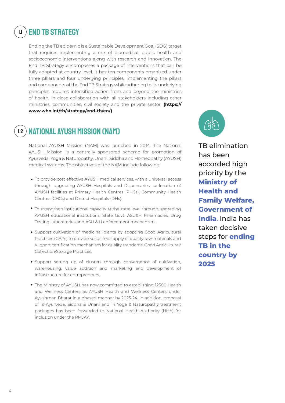#### **END TB STRATEGY** 1.1

Ending the TB epidemic is a Sustainable Development Goal (SDG) target that requires implementing a mix of biomedical, public health and socioeconomic interventions along with research and innovation. The End TB Strategy encompasses a package of interventions that can be fully adapted at country level. It has ten components organized under three pillars and four underlying principles. Implementing the pillars and components of the End TB Strategy while adhering to its underlying principles requires intensified action from and beyond the ministries of health, in close collaboration with all stakeholders including other ministries, communities, civil society and the private sector. **(https:// www.who.int/tb/strategy/end-tb/en/)**

### 1.2

### National AYUSH Mission (NAM)

National AYUSH Mission (NAM) was launched in 2014. The National AYUSH Mission is a centrally sponsored scheme for promotion of Ayurveda, Yoga & Naturopathy, Unani, Siddha and Homeopathy (AYUSH) medical systems. The objectives of the NAM include following:

- To provide cost effective AYUSH medical services, with a universal access through upgrading AYUSH Hospitals and Dispensaries, co-location of AYUSH facilities at Primary Health Centres (PHCs), Community Health Centres (CHCs) and District Hospitals (DHs).
- To strengthen institutional capacity at the state level through upgrading AYUSH educational institutions, State Govt. ASU&H Pharmacies, Drug Testing Laboratories and ASU & H enforcement mechanism.
- Support cultivation of medicinal plants by adopting Good Agricultural Practices (GAPs) to provide sustained supply of quality raw-materials and support certification mechanism for quality standards, Good Agricultural/ Collection/Storage Practices.
- Support setting up of clusters through convergence of cultivation, warehousing, value addition and marketing and development of infrastructure for entrepreneurs.
- The Ministry of AYUSH has now committed to establishing 12500 Health and Wellness Centers as AYUSH Health and Wellness Centers under Ayushman Bharat in a phased manner by 2023-24. In addition, proposal of 19 Ayurveda, Siddha & Unani and 14 Yoga & Naturopathy treatment packages has been forwarded to National Health Authority (NHA) for inclusion under the PMJAY.



TB elimination has been accorded high priority by the **Ministry of Health and Family Welfare, Government of India**. India has taken decisive steps for **ending TB in the country by 2025**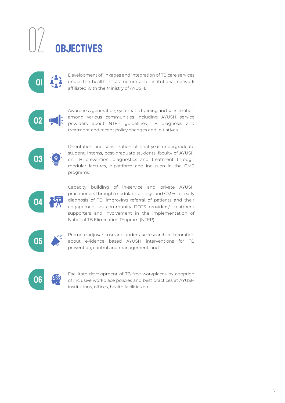# **OBJECTIVES**



Development of linkages and integration of TB care services under the health infrastructure and institutional network affiliated with the Ministry of AYUSH.



Awareness generation, systematic training and sensitization among various communities including AYUSH service providers about NTEP guidelines, TB diagnosis and treatment and recent policy changes and initiatives.



Orientation and sensitization of final year undergraduate student, interns, post-graduate students, faculty of AYUSH on TB prevention, diagnostics and treatment through modular lectures, e-platform and inclusion in the CME programs.



Capacity building of in-service and private AYUSH practitioners through modular trainings and CMEs for early diagnosis of TB, improving referral of patients and their engagement as community DOTS providers/ treatment supporters and involvement in the implementation of National TB Elimination Program (NTEP).



Promote adjuvant use and undertake research collaboration about evidence based AYUSH interventions for TB prevention, control and management; and



Facilitate development of TB-free workplaces by adoption of inclusive workplace policies and best practices at AYUSH institutions, offices, health facilities etc.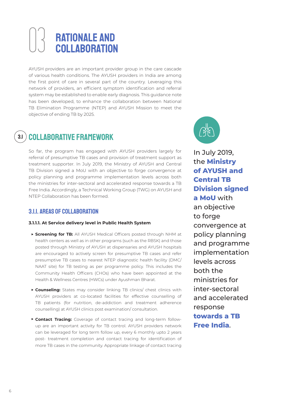# **RATIONALE AND<br>COLLABORATION**

AYUSH providers are an important provider group in the care cascade of various health conditions. The AYUSH providers in India are among the first point of care in several part of the country. Leveraging this network of providers, an efficient symptom identification and referral system may be established to enable early diagnosis. This guidance note has been developed, to enhance the collaboration between National TB Elimination Programme (NTEP) and AYUSH Mission to meet the objective of ending TB by 2025.

### 3.1 COLLABORATIVE FRAMEWORK

So far, the program has engaged with AYUSH providers largely for referral of presumptive TB cases and provision of treatment support as treatment supporter. In July 2019, the Ministry of AYUSH and Central TB Division signed a MoU with an objective to forge convergence at policy planning and programme implementation levels across both the ministries for inter-sectoral and accelerated response towards a TB Free India. Accordingly, a Technical Working Group (TWG) on AYUSH and NTEP Collaboration has been formed.

#### 3.1.1. Areas of collaboration

#### **3.1.1.1. At Service delivery level in Public Health System**

- **Screening for TB:** All AYUSH Medical Officers posted through NHM at health centers as well as in other programs (such as the RBSK) and those posted through Ministry of AYUSH at dispensaries and AYUSH hospitals are encouraged to actively screen for presumptive TB cases and refer presumptive TB cases to nearest NTEP diagnostic health facility (DMC/ NAAT site) for TB testing as per programme policy. This includes the Community Health Officers (CHOs) who have been appointed at the Health & Wellness Centres (HWCs) under Ayushman Bharat.
- **Counseling:** States may consider linking TB clinics/ chest clinics with AYUSH providers at co-located facilities for effective counselling of TB patients (for nutrition, de-addiction and treatment adherence counselling) at AYUSH clinics post examination/ consultation.
- **Contact Tracing:** Coverage of contact tracing and long-term followup are an important activity for TB control. AYUSH providers network can be leveraged for long term follow up, every 6 monthly upto 2 years post- treatment completion and contact tracing for identification of more TB cases in the community. Appropriate linkage of contact tracing



In July 2019, the **Ministry of AYUSH and Central TB Division signed a MoU** with an objective to forge convergence at policy planning and programme implementation levels across both the ministries for inter-sectoral and accelerated response **towards a TB Free India**.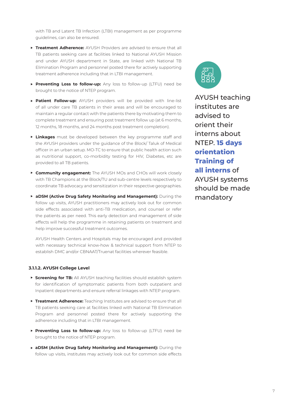with TB and Latent TB Infection (LTBI) management as per programme guidelines, can also be ensured.

- **Treatment Adherence:** AYUSH Providers are advised to ensure that all TB patients seeking care at facilities linked to National AYUSH Mission and under AYUSH department in State, are linked with National TB Elimination Program and personnel posted there for actively supporting treatment adherence including that in LTBI management.
- **Preventing Loss to follow-up:** Any loss to follow-up (LTFU) need be brought to the notice of NTEP program.
- **Patient Follow-up:** AYUSH providers will be provided with line-list of all under care TB patients in their areas and will be encouraged to maintain a regular contact with the patients there by motivating them to complete treatment and ensuring post treatment follow up (at 6 months, 12 months, 18 months, and 24 months post treatment completion).
- **Linkages** must be developed between the key programme staff and the AYUSH providers under the guidance of the Block/ Taluk of Medical officer in an urban setup. MO-TC to ensure that public health action such as nutritional support, co-morbidity testing for HIV, Diabetes, etc are provided to all TB patients.
- **Community engagement:** The AYUSH MOs and CHOs will work closely with TB Champions at the Block/TU and sub-centre levels respectively to coordinate TB advocacy and sensitization in their respective geographies.
- **aDSM (Active Drug Safety Monitoring and Management):** During the follow up visits, AYUSH practitioners may actively look out for common side effects associated with anti-TB medication, and counsel or refer the patients as per need. This early detection and management of side effects will help the programme in retaining patients on treatment and help improve successful treatment outcomes.

AYUSH Health Centers and Hospitals may be encouraged and provided with necessary technical know-how & technical support from NTEP to establish DMC and/or CBNAAT/Truenat facilities wherever feasible.

#### **3.1.1.2. AYUSH College Level**

- **Screening for TB:** All AYUSH teaching facilities should establish system for identification of symptomatic patients from both outpatient and Inpatient departments and ensure referral linkages with NTEP program.
- **Treatment Adherence:** Teaching Institutes are advised to ensure that all TB patients seeking care at facilities linked with National TB Elimination Program and personnel posted there for actively supporting the adherence including that in LTBI management.
- **Preventing Loss to follow-up:** Any loss to follow-up (LTFU) need be brought to the notice of NTEP program.
- **aDSM (Active Drug Safety Monitoring and Management):** During the follow up visits, institutes may actively look out for common side effects

AYUSH teaching institutes are advised to orient their interns about NTEP. **15 days orientation Training of all interns** of AYUSH systems should be made mandatory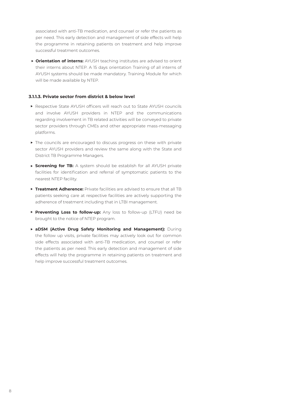associated with anti-TB medication, and counsel or refer the patients as per need. This early detection and management of side effects will help the programme in retaining patients on treatment and help improve successful treatment outcomes.

**Orientation of interns:** AYUSH teaching institutes are advised to orient their interns about NTEP. A 15 days orientation Training of all interns of AYUSH systems should be made mandatory. Training Module for which will be made available by NTEP.

#### **3.1.1.3. Private sector from district & below level**

- Respective State AYUSH officers will reach out to State AYUSH councils and involve AYUSH providers in NTEP and the communications regarding involvement in TB related activities will be conveyed to private sector providers through CMEs and other appropriate mass-messaging platforms.
- $\triangleright$  The councils are encouraged to discuss progress on these with private sector AYUSH providers and review the same along with the State and District TB Programme Managers.
- **Screening for TB:** A system should be establish for all AYUSH private facilities for identification and referral of symptomatic patients to the nearest NTEP facility.
- **Treatment Adherence:** Private facilities are advised to ensure that all TB patients seeking care at respective facilities are actively supporting the adherence of treatment including that in LTBI management.
- **Preventing Loss to follow-up:** Any loss to follow-up (LTFU) need be brought to the notice of NTEP program.
- **aDSM (Active Drug Safety Monitoring and Management):** During the follow up visits, private facilities may actively look out for common side effects associated with anti-TB medication, and counsel or refer the patients as per need. This early detection and management of side effects will help the programme in retaining patients on treatment and help improve successful treatment outcomes.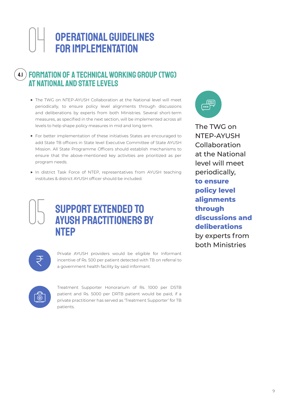### Operational guidelines for implementation 04

#### Formation of a Technical Working Group (TWG) at National and State levels  $4.1$

- The TWG on NTEP-AYUSH Collaboration at the National level will meet periodically, to ensure policy level alignments through discussions and deliberations by experts from both Ministries. Several short-term measures, as specified in the next section, will be implemented across all levels to help shape policy measures in mid and long term.
- For better implementation of these initiatives States are encouraged to add State TB officers in State level Executive Committee of State AYUSH Mission. All State Programme Officers should establish mechanisms to ensure that the above-mentioned key activities are prioritized as per program needs.
- In district Task Force of NTEP, representatives from AYUSH teaching institutes & district AYUSH officer should be included.

SUPPORT EXTENDED TO

AYUSH practitioners by



The TWG on NTEP-AYUSH Collaboration at the National level will meet periodically, **to ensure policy level alignments through discussions and deliberations**  by experts from both Ministries



05

**NTEP** 

Private AYUSH providers would be eligible for Informant incentive of Rs. 500 per patient detected with TB on referral to a government health facility by said informant.



Treatment Supporter Honorarium of Rs. 1000 per DSTB patient and Rs. 5000 per DRTB patient would be paid, if a private practitioner has served as 'Treatment Supporter' for TB patients.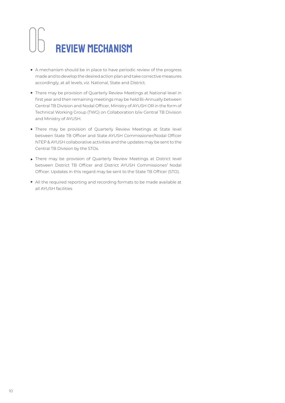# 06 Review Mechanism

- A mechanism should be in place to have periodic review of the progress made and to develop the desired action plan and take corrective measures accordingly, at all levels, viz. National, State and District.
- There may be provision of Quarterly Review Meetings at National level in first year and then remaining meetings may be held Bi-Annually between Central TB Division and Nodal Officer, Ministry of AYUSH OR in the form of Technical Working Group (TWG) on Collaboration b/w Central TB Division and Ministry of AYUSH.
- There may be provision of Quarterly Review Meetings at State level between State TB Officer and State AYUSH Commissioner/Nodal Officer NTEP & AYUSH collaborative activities and the updates may be sent to the Central TB Division by the STOs.
- There may be provision of Quarterly Review Meetings at District level between District TB Officer and District AYUSH Commissioner/ Nodal Officer. Updates in this regard may be sent to the State TB Officer (STO).
- All the required reporting and recording formats to be made available at all AYUSH facilities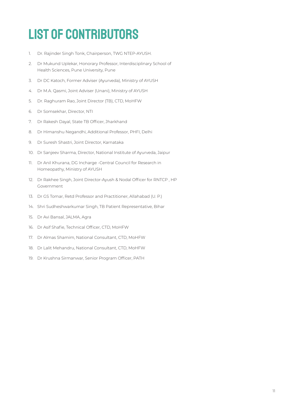## List of Contributors

- 1. Dr. Rajinder Singh Tonk, Chairperson, TWG NTEP-AYUSH.
- 2. Dr Mukund Uplekar, Honorary Professor, Interdisciplinary School of Health Sciences, Pune University, Pune
- 3. Dr DC Katoch, Former Adviser (Ayurveda), Ministry of AYUSH
- 4. Dr M.A. Qasmi, Joint Adviser (Unani), Ministry of AYUSH
- 5. Dr. Raghuram Rao, Joint Director (TB), CTD, MoHFW
- 6. Dr Somsekhar, Director, NTI
- 7. Dr Rakesh Dayal, State TB Officer, Jharkhand
- 8. Dr Himanshu Negandhi, Additional Professor, PHFI, Delhi
- 9. Dr Suresh Shastri, Joint Director, Karnataka
- 10. Dr Sanjeev Sharma, Director, National Institute of Ayurveda, Jaipur
- 11. Dr Anil Khurana, DG Incharge -Central Council for Research in Homeopathy, Ministry of AYUSH
- 12. Dr Rakhee Singh, Joint Director-Ayush & Nodal Officer for RNTCP , HP Government
- 13. Dr GS Tomar, Retd Professor and Practitioner, Allahabad (U. P.)
- 14. Shri Sudheshwarkumar Singh, TB Patient Representative, Bihar
- 15. Dr Avi Bansal, JALMA, Agra
- 16. Dr Asif Shafie, Technical Officer, CTD, MoHFW
- 17. Dr Almas Shamim, National Consultant, CTD, MoHFW
- 18. Dr Lalit Mehandru, National Consultant, CTD, MoHFW
- 19. Dr Krushna Sirmanwar, Senior Program Officer, PATH